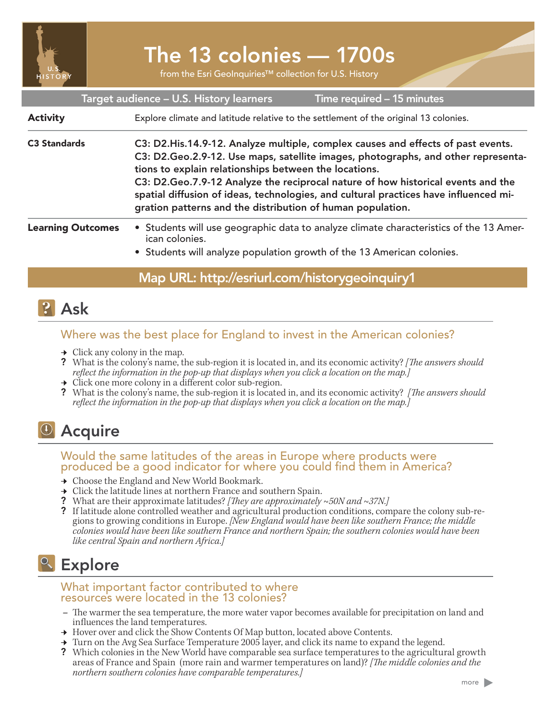

# The 13 colonies — 1700s

from the Esri GeoInquiries™ collection for U.S. History

| Target audience - U.S. History learners<br>Time required - 15 minutes |                                                                                                                                                                                                                                                                                                                                                                                                                                                                            |
|-----------------------------------------------------------------------|----------------------------------------------------------------------------------------------------------------------------------------------------------------------------------------------------------------------------------------------------------------------------------------------------------------------------------------------------------------------------------------------------------------------------------------------------------------------------|
| <b>Activity</b>                                                       | Explore climate and latitude relative to the settlement of the original 13 colonies.                                                                                                                                                                                                                                                                                                                                                                                       |
| <b>C3 Standards</b>                                                   | C3: D2. His. 14.9-12. Analyze multiple, complex causes and effects of past events.<br>C3: D2.Geo.2.9-12. Use maps, satellite images, photographs, and other representa-<br>tions to explain relationships between the locations.<br>C3: D2.Geo.7.9-12 Analyze the reciprocal nature of how historical events and the<br>spatial diffusion of ideas, technologies, and cultural practices have influenced mi-<br>gration patterns and the distribution of human population. |
| <b>Learning Outcomes</b>                                              | • Students will use geographic data to analyze climate characteristics of the 13 Amer-<br>ican colonies.<br>• Students will analyze population growth of the 13 American colonies.                                                                                                                                                                                                                                                                                         |

## Map URL: http://esriurl.com/historygeoinquiry1

# **P** Ask

### Where was the best place for England to invest in the American colonies?

- $\rightarrow$  Click any colony in the map.
- ? What is the colony's name, the sub-region it is located in, and its economic activity? *[The answers should reflect the information in the pop-up that displays when you click a location on the map.]*
- $\rightarrow$  Click one more colony in a different color sub-region.
- ? What is the colony's name, the sub-region it is located in, and its economic activity? *[The answers should reflect the information in the pop-up that displays when you click a location on the map.]*

# **D** Acquire

### Would the same latitudes of the areas in Europe where products were produced be a good indicator for where you could find them in America?

- **→** Choose the England and New World Bookmark.
- $\rightarrow$  Click the latitude lines at northern France and southern Spain.
- ? What are their approximate latitudes? *[They are approximately ~50N and ~37N.]*
- ? If latitude alone controlled weather and agricultural production conditions, compare the colony sub-regions to growing conditions in Europe. *[New England would have been like southern France; the middle colonies would have been like southern France and northern Spain; the southern colonies would have been like central Spain and northern Africa.]*

# **Explore**

#### What important factor contributed to where resource's were located in the 13 colonies?

- **–** The warmer the sea temperature, the more water vapor becomes available for precipitation on land and influences the land temperatures.
- → Hover over and click the Show Contents Of Map button, located above Contents.
- ʅ Turn on the Avg Sea Surface Temperature 2005 layer, and click its name to expand the legend.
- ? Which colonies in the New World have comparable sea surface temperatures to the agricultural growth areas of France and Spain (more rain and warmer temperatures on land)? *[The middle colonies and the northern southern colonies have comparable temperatures.]*